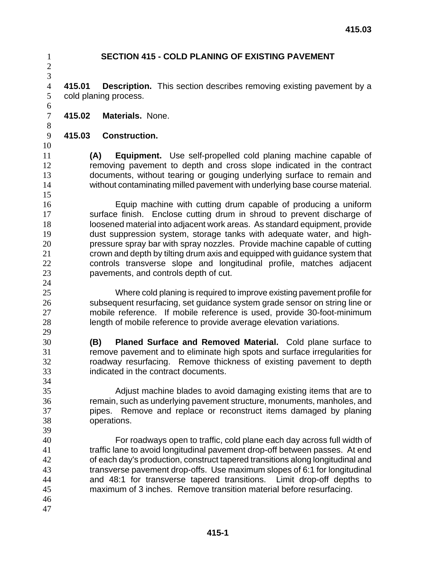**SECTION 415 - COLD PLANING OF EXISTING PAVEMENT 415.01 Description.** This section describes removing existing pavement by a cold planing process. **415.02 Materials.** None. **415.03 Construction. (A) Equipment.** Use self-propelled cold planing machine capable of removing pavement to depth and cross slope indicated in the contract documents, without tearing or gouging underlying surface to remain and without contaminating milled pavement with underlying base course material. Equip machine with cutting drum capable of producing a uniform surface finish. Enclose cutting drum in shroud to prevent discharge of loosened material into adjacent work areas. As standard equipment, provide dust suppression system, storage tanks with adequate water, and high-pressure spray bar with spray nozzles. Provide machine capable of cutting crown and depth by tilting drum axis and equipped with guidance system that controls transverse slope and longitudinal profile, matches adjacent pavements, and controls depth of cut. Where cold planing is required to improve existing pavement profile for subsequent resurfacing, set guidance system grade sensor on string line or mobile reference. If mobile reference is used, provide 30-foot-minimum length of mobile reference to provide average elevation variations. **(B) Planed Surface and Removed Material.** Cold plane surface to remove pavement and to eliminate high spots and surface irregularities for roadway resurfacing. Remove thickness of existing pavement to depth indicated in the contract documents. Adjust machine blades to avoid damaging existing items that are to remain, such as underlying pavement structure, monuments, manholes, and pipes. Remove and replace or reconstruct items damaged by planing operations. For roadways open to traffic, cold plane each day across full width of traffic lane to avoid longitudinal pavement drop-off between passes. At end of each day's production, construct tapered transitions along longitudinal and transverse pavement drop-offs. Use maximum slopes of 6:1 for longitudinal and 48:1 for transverse tapered transitions. Limit drop-off depths to maximum of 3 inches. Remove transition material before resurfacing.